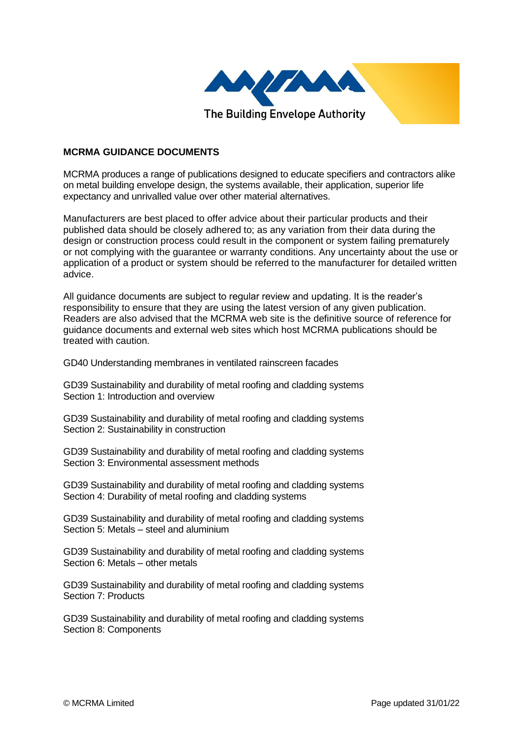

## **MCRMA GUIDANCE DOCUMENTS**

MCRMA produces a range of publications designed to educate specifiers and contractors alike on metal building envelope design, the systems available, their application, superior life expectancy and unrivalled value over other material alternatives.

Manufacturers are best placed to offer advice about their particular products and their published data should be closely adhered to; as any variation from their data during the design or construction process could result in the component or system failing prematurely or not complying with the guarantee or warranty conditions. Any uncertainty about the use or application of a product or system should be referred to the manufacturer for detailed written advice.

All guidance documents are subject to regular review and updating. It is the reader's responsibility to ensure that they are using the latest version of any given publication. Readers are also advised that the MCRMA web site is the definitive source of reference for guidance documents and external web sites which host MCRMA publications should be treated with caution.

GD40 Understanding membranes in ventilated rainscreen facades

GD39 Sustainability and durability of metal roofing and cladding systems Section 1: Introduction and overview

GD39 Sustainability and durability of metal roofing and cladding systems Section 2: Sustainability in construction

GD39 Sustainability and durability of metal roofing and cladding systems Section 3: Environmental assessment methods

GD39 Sustainability and durability of metal roofing and cladding systems Section 4: Durability of metal roofing and cladding systems

GD39 Sustainability and durability of metal roofing and cladding systems Section 5: Metals – steel and aluminium

GD39 Sustainability and durability of metal roofing and cladding systems Section 6: Metals – other metals

GD39 Sustainability and durability of metal roofing and cladding systems Section 7: Products

GD39 Sustainability and durability of metal roofing and cladding systems Section 8: Components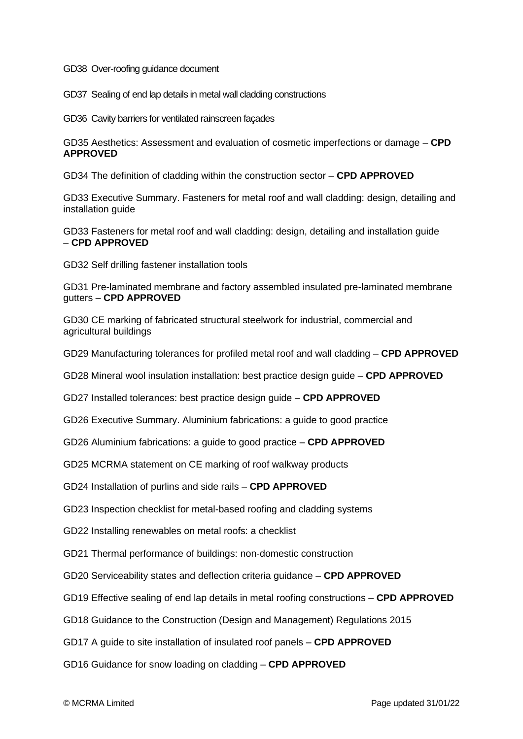GD38 Over-roofing guidance document

GD37 Sealing of end lap details in metal wall cladding constructions

GD36 Cavity barriers for ventilated rainscreen façades

GD35 Aesthetics: Assessment and evaluation of cosmetic imperfections or damage – **CPD APPROVED**

GD34 The definition of cladding within the construction sector – **CPD APPROVED**

GD33 Executive Summary. Fasteners for metal roof and wall cladding: design, detailing and installation guide

GD33 Fasteners for metal roof and wall cladding: design, detailing and installation guide – **CPD APPROVED**

GD32 Self drilling fastener installation tools

GD31 Pre-laminated membrane and factory assembled insulated pre-laminated membrane gutters – **CPD APPROVED**

GD30 CE marking of fabricated structural steelwork for industrial, commercial and agricultural buildings

GD29 Manufacturing tolerances for profiled metal roof and wall cladding – **CPD APPROVED**

GD28 Mineral wool insulation installation: best practice design guide – **CPD APPROVED**

GD27 Installed tolerances: best practice design guide – **CPD APPROVED**

GD26 Executive Summary. Aluminium fabrications: a guide to good practice

GD26 Aluminium fabrications: a guide to good practice – **CPD APPROVED**

GD25 MCRMA statement on CE marking of roof walkway products

GD24 Installation of purlins and side rails – **CPD APPROVED**

GD23 Inspection checklist for metal-based roofing and cladding systems

GD22 Installing renewables on metal roofs: a checklist

GD21 Thermal performance of buildings: non-domestic construction

GD20 Serviceability states and deflection criteria guidance – **CPD APPROVED**

GD19 Effective sealing of end lap details in metal roofing constructions – **CPD APPROVED**

GD18 Guidance to the Construction (Design and Management) Regulations 2015

GD17 A guide to site installation of insulated roof panels – **CPD APPROVED**

GD16 Guidance for snow loading on cladding – **CPD APPROVED**